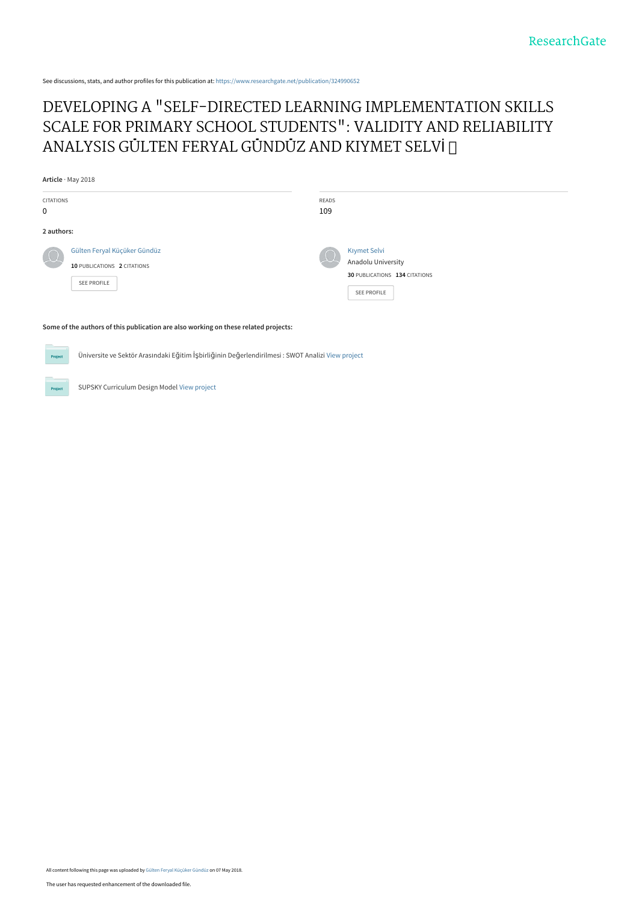See discussions, stats, and author profiles for this publication at: [https://www.researchgate.net/publication/324990652](https://www.researchgate.net/publication/324990652_DEVELOPING_A_SELF-DIRECTED_LEARNING_IMPLEMENTATION_SKILLS_SCALE_FOR_PRIMARY_SCHOOL_STUDENTS_VALIDITY_AND_RELIABILITY_ANALYSIS_GULTEN_FERYAL_GUNDUZ_AND_KIYMET_SELVI?enrichId=rgreq-bc579171cb520c76d23b1ddf0dda924c-XXX&enrichSource=Y292ZXJQYWdlOzMyNDk5MDY1MjtBUzo2MjM2Mjg5MjAwNTM3NjFAMTUyNTY5NjEyOTU0MA%3D%3D&el=1_x_2&_esc=publicationCoverPdf)

# [DEVELOPING A "SELF-DIRECTED LEARNING IMPLEMENTATION SKILLS](https://www.researchgate.net/publication/324990652_DEVELOPING_A_SELF-DIRECTED_LEARNING_IMPLEMENTATION_SKILLS_SCALE_FOR_PRIMARY_SCHOOL_STUDENTS_VALIDITY_AND_RELIABILITY_ANALYSIS_GULTEN_FERYAL_GUNDUZ_AND_KIYMET_SELVI?enrichId=rgreq-bc579171cb520c76d23b1ddf0dda924c-XXX&enrichSource=Y292ZXJQYWdlOzMyNDk5MDY1MjtBUzo2MjM2Mjg5MjAwNTM3NjFAMTUyNTY5NjEyOTU0MA%3D%3D&el=1_x_3&_esc=publicationCoverPdf) SCALE FOR PRIMARY SCHOOL STUDENTS": VALIDITY AND RELIABILITY ANALYSIS GÜLTEN FERYAL GÜNDÜZ AND KIYMET SELVİ

**Article** · May 2018 CITATIONS 0 READS 109 **2 authors:** [Gülten Feryal Küçüker Gündüz](https://www.researchgate.net/profile/Guelten_Kuecueker_Guenduez?enrichId=rgreq-bc579171cb520c76d23b1ddf0dda924c-XXX&enrichSource=Y292ZXJQYWdlOzMyNDk5MDY1MjtBUzo2MjM2Mjg5MjAwNTM3NjFAMTUyNTY5NjEyOTU0MA%3D%3D&el=1_x_5&_esc=publicationCoverPdf) **10** PUBLICATIONS **2** CITATIONS [SEE PROFILE](https://www.researchgate.net/profile/Guelten_Kuecueker_Guenduez?enrichId=rgreq-bc579171cb520c76d23b1ddf0dda924c-XXX&enrichSource=Y292ZXJQYWdlOzMyNDk5MDY1MjtBUzo2MjM2Mjg5MjAwNTM3NjFAMTUyNTY5NjEyOTU0MA%3D%3D&el=1_x_7&_esc=publicationCoverPdf) Kı[ymet Selvi](https://www.researchgate.net/profile/Kiymet_Selvi?enrichId=rgreq-bc579171cb520c76d23b1ddf0dda924c-XXX&enrichSource=Y292ZXJQYWdlOzMyNDk5MDY1MjtBUzo2MjM2Mjg5MjAwNTM3NjFAMTUyNTY5NjEyOTU0MA%3D%3D&el=1_x_5&_esc=publicationCoverPdf) [Anadolu University](https://www.researchgate.net/institution/Anadolu_University?enrichId=rgreq-bc579171cb520c76d23b1ddf0dda924c-XXX&enrichSource=Y292ZXJQYWdlOzMyNDk5MDY1MjtBUzo2MjM2Mjg5MjAwNTM3NjFAMTUyNTY5NjEyOTU0MA%3D%3D&el=1_x_6&_esc=publicationCoverPdf) **30** PUBLICATIONS **134** CITATIONS [SEE PROFILE](https://www.researchgate.net/profile/Kiymet_Selvi?enrichId=rgreq-bc579171cb520c76d23b1ddf0dda924c-XXX&enrichSource=Y292ZXJQYWdlOzMyNDk5MDY1MjtBUzo2MjM2Mjg5MjAwNTM3NjFAMTUyNTY5NjEyOTU0MA%3D%3D&el=1_x_7&_esc=publicationCoverPdf)

**Some of the authors of this publication are also working on these related projects:**

Üniversite ve Sektör Arasındaki Eğitim İşbirliğinin Değerlendirilmesi : SWOT Analizi [View project](https://www.researchgate.net/project/Ueniversite-ve-Sektoer-Arasindaki-Egitim-Isbirliginin-Degerlendirilmesi-SWOT-Analizi?enrichId=rgreq-bc579171cb520c76d23b1ddf0dda924c-XXX&enrichSource=Y292ZXJQYWdlOzMyNDk5MDY1MjtBUzo2MjM2Mjg5MjAwNTM3NjFAMTUyNTY5NjEyOTU0MA%3D%3D&el=1_x_9&_esc=publicationCoverPdf)

SUPSKY Curriculum Design Model [View project](https://www.researchgate.net/project/SUPSKY-Curriculum-Design-Model?enrichId=rgreq-bc579171cb520c76d23b1ddf0dda924c-XXX&enrichSource=Y292ZXJQYWdlOzMyNDk5MDY1MjtBUzo2MjM2Mjg5MjAwNTM3NjFAMTUyNTY5NjEyOTU0MA%3D%3D&el=1_x_9&_esc=publicationCoverPdf)

Proj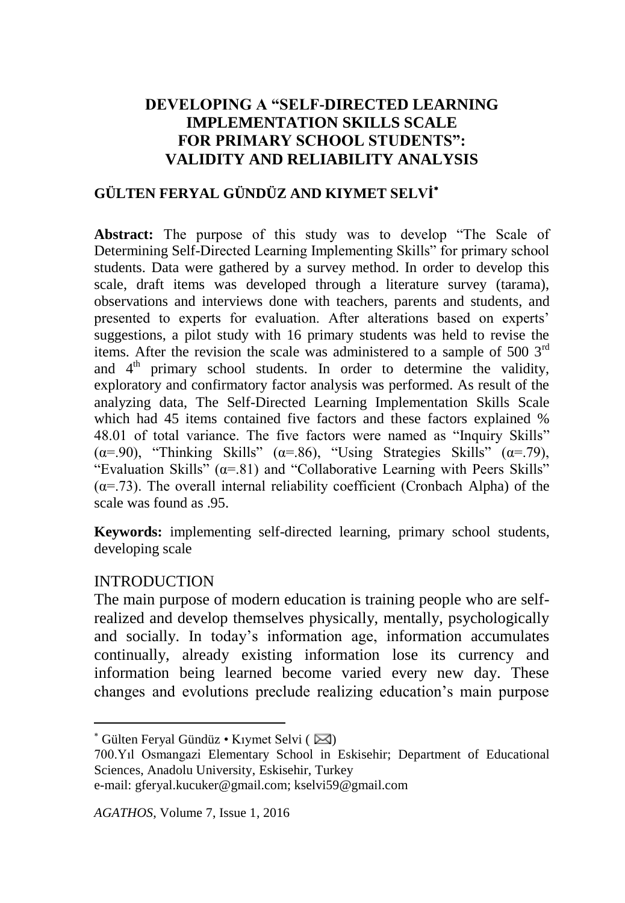#### **DEVELOPING A "SELF-DIRECTED LEARNING IMPLEMENTATION SKILLS SCALE FOR PRIMARY SCHOOL STUDENTS": VALIDITY AND RELIABILITY ANALYSIS**

## **GÜLTEN FERYAL GÜNDÜZ AND KIYMET SELVİ**

**Abstract:** The purpose of this study was to develop "The Scale of Determining Self-Directed Learning Implementing Skills" for primary school students. Data were gathered by a survey method. In order to develop this scale, draft items was developed through a literature survey (tarama), observations and interviews done with teachers, parents and students, and presented to experts for evaluation. After alterations based on experts' suggestions, a pilot study with 16 primary students was held to revise the items. After the revision the scale was administered to a sample of 500  $3<sup>rd</sup>$ and  $4<sup>th</sup>$  primary school students. In order to determine the validity, exploratory and confirmatory factor analysis was performed. As result of the analyzing data, The Self-Directed Learning Implementation Skills Scale which had 45 items contained five factors and these factors explained % 48.01 of total variance. The five factors were named as "Inquiry Skills" ( $\alpha$ =.90), "Thinking Skills" ( $\alpha$ =.86), "Using Strategies Skills" ( $\alpha$ =.79), "Evaluation Skills"  $(\alpha = 81)$  and "Collaborative Learning with Peers Skills"  $(\alpha = 73)$ . The overall internal reliability coefficient (Cronbach Alpha) of the scale was found as 95.

**Keywords:** implementing self-directed learning, primary school students, developing scale

#### INTRODUCTION

 $\overline{a}$ 

The main purpose of modern education is training people who are selfrealized and develop themselves physically, mentally, psychologically and socially. In today's information age, information accumulates continually, already existing information lose its currency and information being learned become varied every new day. These changes and evolutions preclude realizing education's main purpose

 $*$  Gülten Feryal Gündüz • Kıymet Selvi ( $\boxtimes$ )

<sup>700.</sup>Yıl Osmangazi Elementary School in Eskisehir; Department of Educational Sciences, Anadolu University, Eskisehir, Turkey

e-mail: [gferyal.kucuker@gmail.com;](mailto:gferyal.kucuker@gmail.com) kselvi59@gmail.com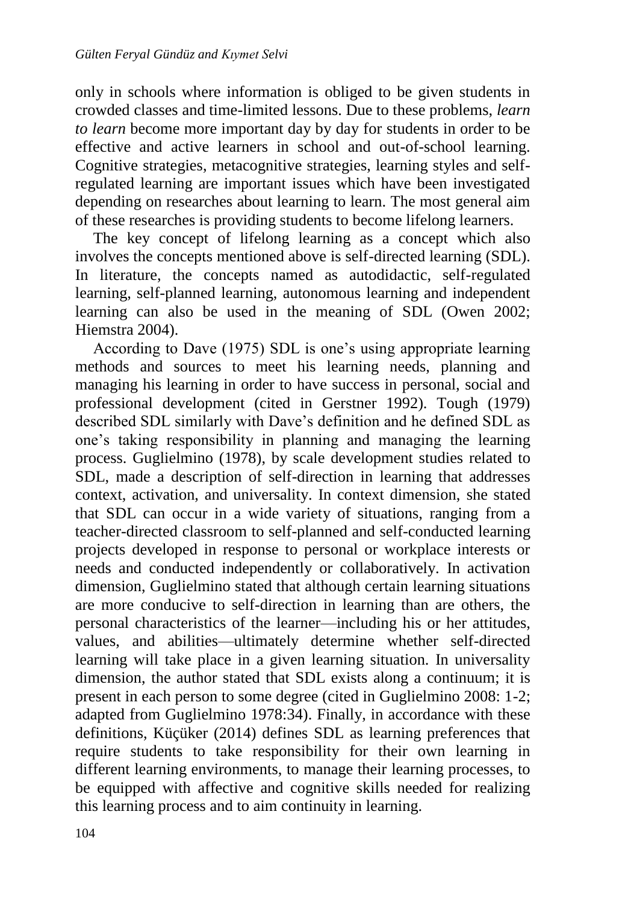only in schools where information is obliged to be given students in crowded classes and time-limited lessons. Due to these problems, *learn to learn* become more important day by day for students in order to be effective and active learners in school and out-of-school learning. Cognitive strategies, metacognitive strategies, learning styles and selfregulated learning are important issues which have been investigated depending on researches about learning to learn. The most general aim of these researches is providing students to become lifelong learners.

The key concept of lifelong learning as a concept which also involves the concepts mentioned above is self-directed learning (SDL). In literature, the concepts named as autodidactic, self-regulated learning, self-planned learning, autonomous learning and independent learning can also be used in the meaning of SDL (Owen 2002; Hiemstra 2004).

According to Dave (1975) SDL is one's using appropriate learning methods and sources to meet his learning needs, planning and managing his learning in order to have success in personal, social and professional development (cited in Gerstner 1992). Tough (1979) described SDL similarly with Dave's definition and he defined SDL as one's taking responsibility in planning and managing the learning process. Guglielmino (1978), by scale development studies related to SDL, made a description of self-direction in learning that addresses context, activation, and universality. In context dimension, she stated that SDL can occur in a wide variety of situations, ranging from a teacher-directed classroom to self-planned and self-conducted learning projects developed in response to personal or workplace interests or needs and conducted independently or collaboratively. In activation dimension, Guglielmino stated that although certain learning situations are more conducive to self-direction in learning than are others, the personal characteristics of the learner—including his or her attitudes, values, and abilities—ultimately determine whether self-directed learning will take place in a given learning situation. In universality dimension, the author stated that SDL exists along a continuum; it is present in each person to some degree (cited in Guglielmino 2008: 1-2; adapted from Guglielmino 1978:34). Finally, in accordance with these definitions, Küçüker (2014) defines SDL as learning preferences that require students to take responsibility for their own learning in different learning environments, to manage their learning processes, to be equipped with affective and cognitive skills needed for realizing this learning process and to aim continuity in learning.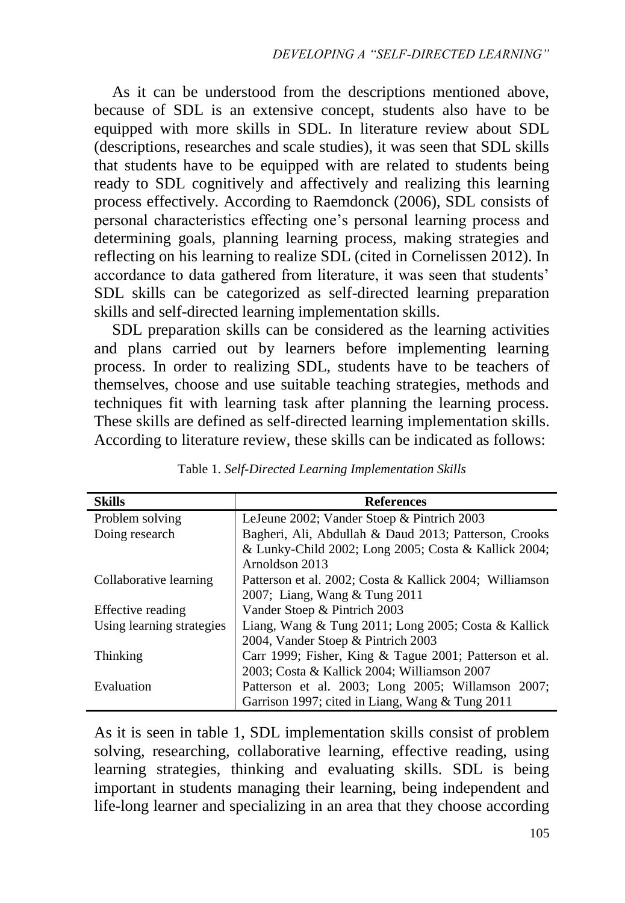As it can be understood from the descriptions mentioned above, because of SDL is an extensive concept, students also have to be equipped with more skills in SDL. In literature review about SDL (descriptions, researches and scale studies), it was seen that SDL skills that students have to be equipped with are related to students being ready to SDL cognitively and affectively and realizing this learning process effectively. According to Raemdonck (2006), SDL consists of personal characteristics effecting one's personal learning process and determining goals, planning learning process, making strategies and reflecting on his learning to realize SDL (cited in Cornelissen 2012). In accordance to data gathered from literature, it was seen that students' SDL skills can be categorized as self-directed learning preparation skills and self-directed learning implementation skills.

SDL preparation skills can be considered as the learning activities and plans carried out by learners before implementing learning process. In order to realizing SDL, students have to be teachers of themselves, choose and use suitable teaching strategies, methods and techniques fit with learning task after planning the learning process. These skills are defined as self-directed learning implementation skills. According to literature review, these skills can be indicated as follows:

| <b>Skills</b>             | <b>References</b>                                       |  |  |
|---------------------------|---------------------------------------------------------|--|--|
| Problem solving           | LeJeune 2002; Vander Stoep & Pintrich 2003              |  |  |
| Doing research            | Bagheri, Ali, Abdullah & Daud 2013; Patterson, Crooks   |  |  |
|                           | & Lunky-Child 2002; Long 2005; Costa & Kallick 2004;    |  |  |
|                           | Arnoldson 2013                                          |  |  |
| Collaborative learning    | Patterson et al. 2002; Costa & Kallick 2004; Williamson |  |  |
|                           | 2007; Liang, Wang & Tung 2011                           |  |  |
| Effective reading         | Vander Stoep & Pintrich 2003                            |  |  |
| Using learning strategies | Liang, Wang & Tung 2011; Long 2005; Costa & Kallick     |  |  |
|                           | 2004, Vander Stoep & Pintrich 2003                      |  |  |
| Thinking                  | Carr 1999; Fisher, King & Tague 2001; Patterson et al.  |  |  |
|                           | 2003; Costa & Kallick 2004; Williamson 2007             |  |  |
| Evaluation                | Patterson et al. 2003; Long 2005; Willamson 2007;       |  |  |
|                           | Garrison 1997; cited in Liang, Wang & Tung 2011         |  |  |

Table 1. *Self-Directed Learning Implementation Skills*

As it is seen in table 1, SDL implementation skills consist of problem solving, researching, collaborative learning, effective reading, using learning strategies, thinking and evaluating skills. SDL is being important in students managing their learning, being independent and life-long learner and specializing in an area that they choose according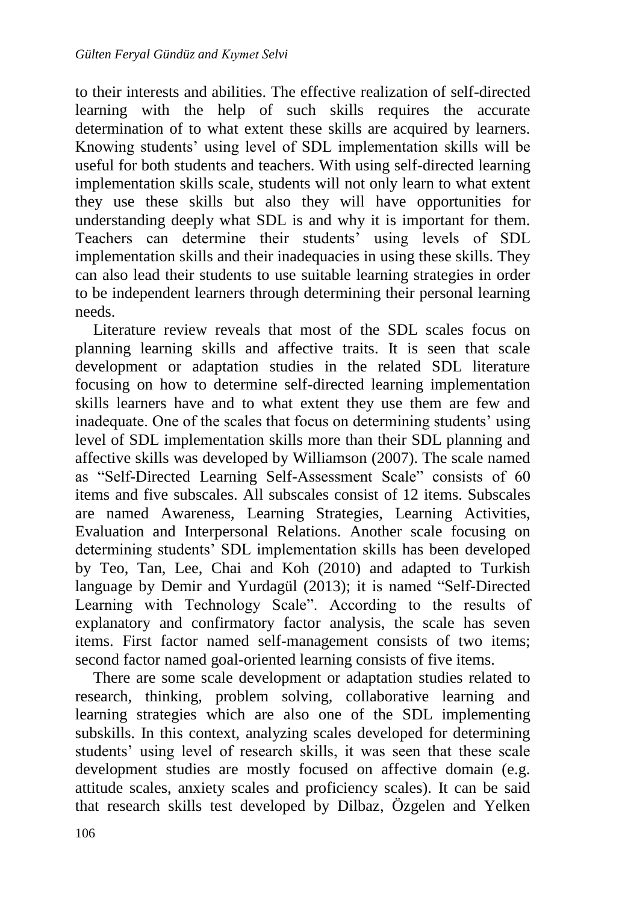to their interests and abilities. The effective realization of self-directed learning with the help of such skills requires the accurate determination of to what extent these skills are acquired by learners. Knowing students' using level of SDL implementation skills will be useful for both students and teachers. With using self-directed learning implementation skills scale, students will not only learn to what extent they use these skills but also they will have opportunities for understanding deeply what SDL is and why it is important for them. Teachers can determine their students' using levels of SDL implementation skills and their inadequacies in using these skills. They can also lead their students to use suitable learning strategies in order to be independent learners through determining their personal learning needs.

Literature review reveals that most of the SDL scales focus on planning learning skills and affective traits. It is seen that scale development or adaptation studies in the related SDL literature focusing on how to determine self-directed learning implementation skills learners have and to what extent they use them are few and inadequate. One of the scales that focus on determining students' using level of SDL implementation skills more than their SDL planning and affective skills was developed by Williamson (2007). The scale named as "Self-Directed Learning Self-Assessment Scale" consists of 60 items and five subscales. All subscales consist of 12 items. Subscales are named Awareness, Learning Strategies, Learning Activities, Evaluation and Interpersonal Relations. Another scale focusing on determining students' SDL implementation skills has been developed by Teo, Tan, Lee, Chai and Koh (2010) and adapted to Turkish language by Demir and Yurdagül (2013); it is named "Self-Directed Learning with Technology Scale". According to the results of explanatory and confirmatory factor analysis, the scale has seven items. First factor named self-management consists of two items; second factor named goal-oriented learning consists of five items.

There are some scale development or adaptation studies related to research, thinking, problem solving, collaborative learning and learning strategies which are also one of the SDL implementing subskills. In this context, analyzing scales developed for determining students' using level of research skills, it was seen that these scale development studies are mostly focused on affective domain (e.g. attitude scales, anxiety scales and proficiency scales). It can be said that research skills test developed by Dilbaz, Özgelen and Yelken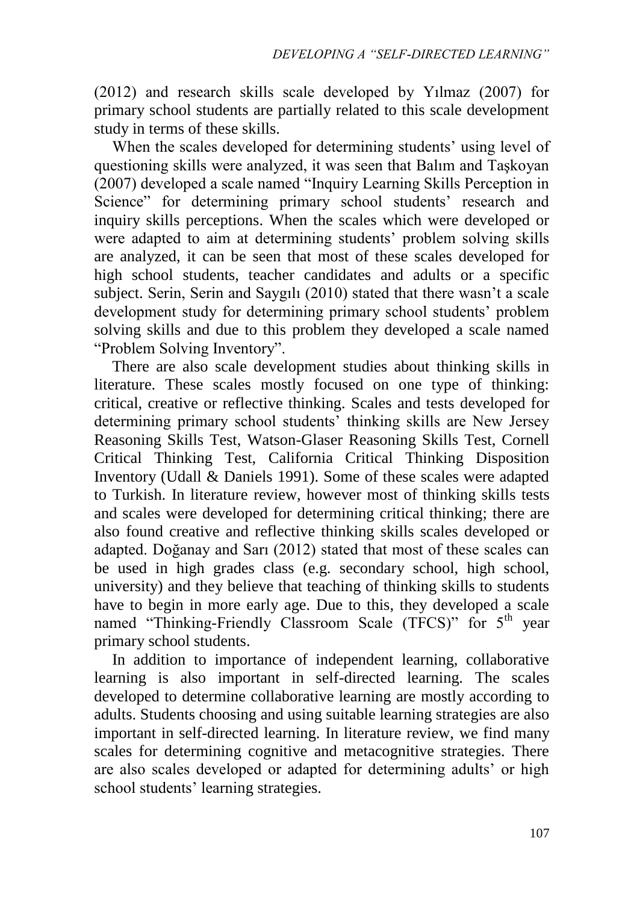(2012) and research skills scale developed by Yılmaz (2007) for primary school students are partially related to this scale development study in terms of these skills.

When the scales developed for determining students' using level of questioning skills were analyzed, it was seen that Balım and Taşkoyan (2007) developed a scale named "Inquiry Learning Skills Perception in Science" for determining primary school students' research and inquiry skills perceptions. When the scales which were developed or were adapted to aim at determining students' problem solving skills are analyzed, it can be seen that most of these scales developed for high school students, teacher candidates and adults or a specific subject. Serin, Serin and Saygılı (2010) stated that there wasn't a scale development study for determining primary school students' problem solving skills and due to this problem they developed a scale named "Problem Solving Inventory".

There are also scale development studies about thinking skills in literature. These scales mostly focused on one type of thinking: critical, creative or reflective thinking. Scales and tests developed for determining primary school students' thinking skills are New Jersey Reasoning Skills Test, Watson-Glaser Reasoning Skills Test, Cornell Critical Thinking Test, California Critical Thinking Disposition Inventory (Udall & Daniels 1991). Some of these scales were adapted to Turkish. In literature review, however most of thinking skills tests and scales were developed for determining critical thinking; there are also found creative and reflective thinking skills scales developed or adapted. Doğanay and Sarı (2012) stated that most of these scales can be used in high grades class (e.g. secondary school, high school, university) and they believe that teaching of thinking skills to students have to begin in more early age. Due to this, they developed a scale named "Thinking-Friendly Classroom Scale (TFCS)" for 5<sup>th</sup> vear primary school students.

In addition to importance of independent learning, collaborative learning is also important in self-directed learning. The scales developed to determine collaborative learning are mostly according to adults. Students choosing and using suitable learning strategies are also important in self-directed learning. In literature review, we find many scales for determining cognitive and metacognitive strategies. There are also scales developed or adapted for determining adults' or high school students' learning strategies.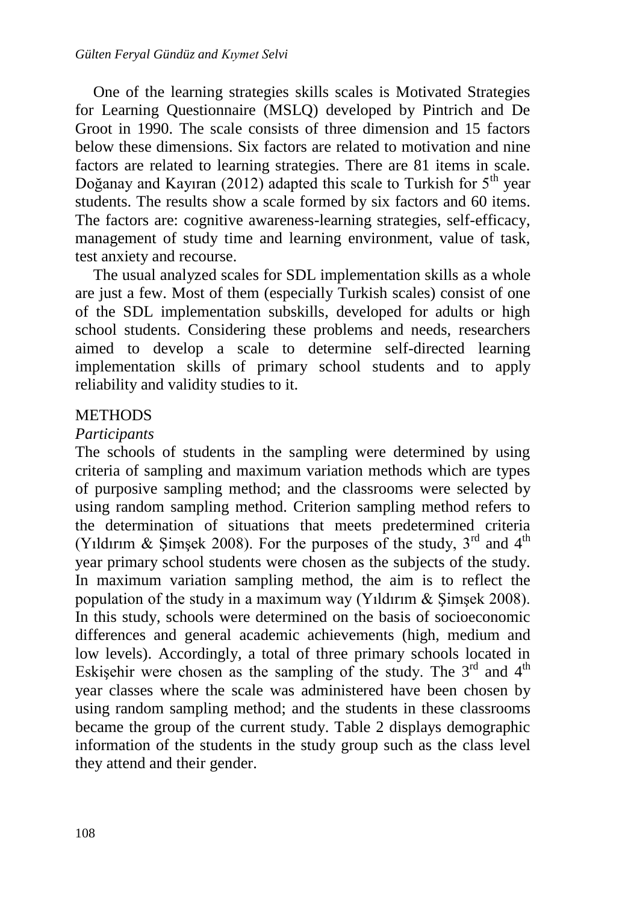One of the learning strategies skills scales is Motivated Strategies for Learning Questionnaire (MSLQ) developed by Pintrich and De Groot in 1990. The scale consists of three dimension and 15 factors below these dimensions. Six factors are related to motivation and nine factors are related to learning strategies. There are 81 items in scale. Doğanay and Kayıran (2012) adapted this scale to Turkish for  $5<sup>th</sup>$  year students. The results show a scale formed by six factors and 60 items. The factors are: cognitive awareness-learning strategies, self-efficacy, management of study time and learning environment, value of task, test anxiety and recourse.

The usual analyzed scales for SDL implementation skills as a whole are just a few. Most of them (especially Turkish scales) consist of one of the SDL implementation subskills, developed for adults or high school students. Considering these problems and needs, researchers aimed to develop a scale to determine self-directed learning implementation skills of primary school students and to apply reliability and validity studies to it.

#### **METHODS**

#### *Participants*

The schools of students in the sampling were determined by using criteria of sampling and maximum variation methods which are types of purposive sampling method; and the classrooms were selected by using random sampling method. Criterion sampling method refers to the determination of situations that meets predetermined criteria (Yıldırım & Şimşek 2008). For the purposes of the study,  $3<sup>rd</sup>$  and  $4<sup>th</sup>$ year primary school students were chosen as the subjects of the study. In maximum variation sampling method, the aim is to reflect the population of the study in a maximum way (Yıldırım & Şimşek 2008). In this study, schools were determined on the basis of socioeconomic differences and general academic achievements (high, medium and low levels). Accordingly, a total of three primary schools located in Eskişehir were chosen as the sampling of the study. The  $3<sup>rd</sup>$  and  $4<sup>th</sup>$ year classes where the scale was administered have been chosen by using random sampling method; and the students in these classrooms became the group of the current study. Table 2 displays demographic information of the students in the study group such as the class level they attend and their gender.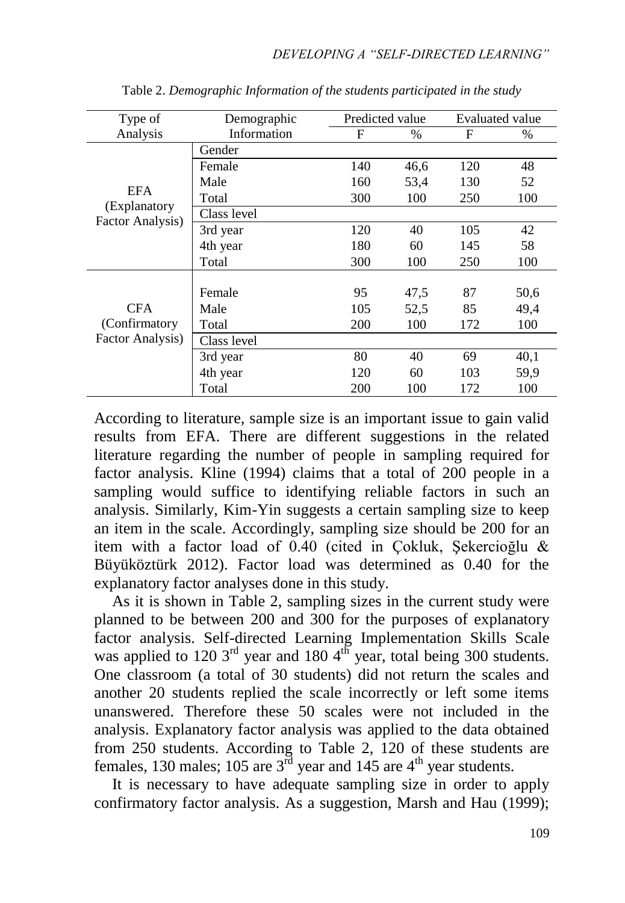| Type of                          | Demographic | Predicted value |      |     | Evaluated value |
|----------------------------------|-------------|-----------------|------|-----|-----------------|
| Analysis                         | Information | F               | $\%$ | F   | $\%$            |
|                                  | Gender      |                 |      |     |                 |
|                                  | Female      | 140             | 46,6 | 120 | 48              |
| <b>EFA</b>                       | Male        | 160             | 53,4 | 130 | 52              |
|                                  | Total       | 300             | 100  | 250 | 100             |
| (Explanatory<br>Factor Analysis) | Class level |                 |      |     |                 |
|                                  | 3rd year    | 120             | 40   | 105 | 42              |
|                                  | 4th year    | 180             | 60   | 145 | 58              |
|                                  | Total       | 300             | 100  | 250 | 100             |
|                                  |             |                 |      |     |                 |
|                                  | Female      | 95              | 47,5 | 87  | 50,6            |
| <b>CFA</b>                       | Male        | 105             | 52,5 | 85  | 49,4            |
| (Confirmatory                    | Total       | 200             | 100  | 172 | 100             |
| Factor Analysis)                 | Class level |                 |      |     |                 |
|                                  | 3rd year    | 80              | 40   | 69  | 40,1            |
|                                  | 4th year    | 120             | 60   | 103 | 59,9            |
|                                  | Total       | 200             | 100  | 172 | 100             |

Table 2. *Demographic Information of the students participated in the study*

According to literature, sample size is an important issue to gain valid results from EFA. There are different suggestions in the related literature regarding the number of people in sampling required for factor analysis. Kline (1994) claims that a total of 200 people in a sampling would suffice to identifying reliable factors in such an analysis. Similarly, Kim-Yin suggests a certain sampling size to keep an item in the scale. Accordingly, sampling size should be 200 for an item with a factor load of 0.40 (cited in Çokluk, Şekercioğlu & Büyüköztürk 2012). Factor load was determined as 0.40 for the explanatory factor analyses done in this study.

As it is shown in Table 2, sampling sizes in the current study were planned to be between 200 and 300 for the purposes of explanatory factor analysis. Self-directed Learning Implementation Skills Scale was applied to 120  $3<sup>rd</sup>$  year and 180  $4<sup>th</sup>$  year, total being 300 students. One classroom (a total of 30 students) did not return the scales and another 20 students replied the scale incorrectly or left some items unanswered. Therefore these 50 scales were not included in the analysis. Explanatory factor analysis was applied to the data obtained from 250 students. According to Table 2, 120 of these students are females, 130 males; 105 are  $3^{\overline{rd}}$  year and 145 are  $4^{\text{th}}$  year students.

It is necessary to have adequate sampling size in order to apply confirmatory factor analysis. As a suggestion, Marsh and Hau (1999);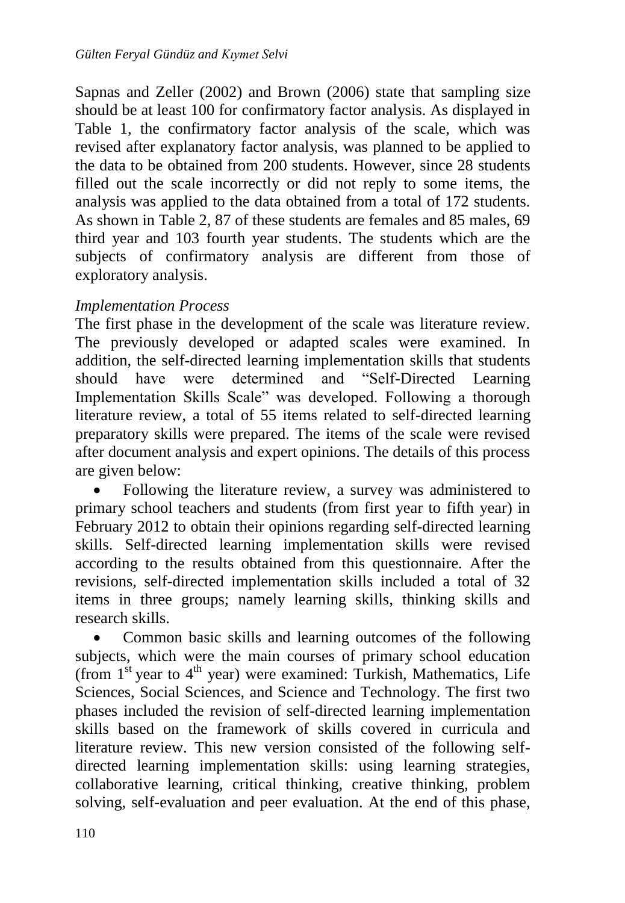Sapnas and Zeller (2002) and Brown (2006) state that sampling size should be at least 100 for confirmatory factor analysis. As displayed in Table 1, the confirmatory factor analysis of the scale, which was revised after explanatory factor analysis, was planned to be applied to the data to be obtained from 200 students. However, since 28 students filled out the scale incorrectly or did not reply to some items, the analysis was applied to the data obtained from a total of 172 students. As shown in Table 2, 87 of these students are females and 85 males, 69 third year and 103 fourth year students. The students which are the subjects of confirmatory analysis are different from those of exploratory analysis.

#### *Implementation Process*

The first phase in the development of the scale was literature review. The previously developed or adapted scales were examined. In addition, the self-directed learning implementation skills that students should have were determined and "Self-Directed Learning Implementation Skills Scale" was developed. Following a thorough literature review, a total of 55 items related to self-directed learning preparatory skills were prepared. The items of the scale were revised after document analysis and expert opinions. The details of this process are given below:

 Following the literature review, a survey was administered to primary school teachers and students (from first year to fifth year) in February 2012 to obtain their opinions regarding self-directed learning skills. Self-directed learning implementation skills were revised according to the results obtained from this questionnaire. After the revisions, self-directed implementation skills included a total of 32 items in three groups; namely learning skills, thinking skills and research skills.

• Common basic skills and learning outcomes of the following subjects, which were the main courses of primary school education (from  $1<sup>st</sup>$  year to  $4<sup>th</sup>$  year) were examined: Turkish, Mathematics, Life Sciences, Social Sciences, and Science and Technology. The first two phases included the revision of self-directed learning implementation skills based on the framework of skills covered in curricula and literature review. This new version consisted of the following selfdirected learning implementation skills: using learning strategies, collaborative learning, critical thinking, creative thinking, problem solving, self-evaluation and peer evaluation. At the end of this phase,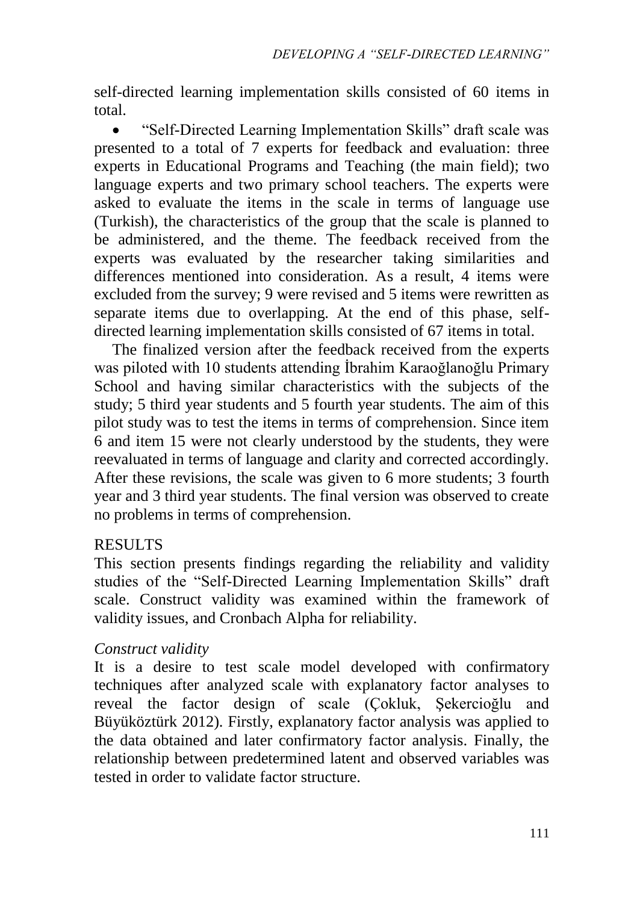self-directed learning implementation skills consisted of 60 items in total.

 "Self-Directed Learning Implementation Skills" draft scale was presented to a total of 7 experts for feedback and evaluation: three experts in Educational Programs and Teaching (the main field); two language experts and two primary school teachers. The experts were asked to evaluate the items in the scale in terms of language use (Turkish), the characteristics of the group that the scale is planned to be administered, and the theme. The feedback received from the experts was evaluated by the researcher taking similarities and differences mentioned into consideration. As a result, 4 items were excluded from the survey; 9 were revised and 5 items were rewritten as separate items due to overlapping. At the end of this phase, selfdirected learning implementation skills consisted of 67 items in total.

The finalized version after the feedback received from the experts was piloted with 10 students attending İbrahim Karaoğlanoğlu Primary School and having similar characteristics with the subjects of the study; 5 third year students and 5 fourth year students. The aim of this pilot study was to test the items in terms of comprehension. Since item 6 and item 15 were not clearly understood by the students, they were reevaluated in terms of language and clarity and corrected accordingly. After these revisions, the scale was given to 6 more students; 3 fourth year and 3 third year students. The final version was observed to create no problems in terms of comprehension.

#### RESULTS

This section presents findings regarding the reliability and validity studies of the "Self-Directed Learning Implementation Skills" draft scale. Construct validity was examined within the framework of validity issues, and Cronbach Alpha for reliability.

#### *Construct validity*

It is a desire to test scale model developed with confirmatory techniques after analyzed scale with explanatory factor analyses to reveal the factor design of scale (Çokluk, Şekercioğlu and Büyüköztürk 2012). Firstly, explanatory factor analysis was applied to the data obtained and later confirmatory factor analysis. Finally, the relationship between predetermined latent and observed variables was tested in order to validate factor structure.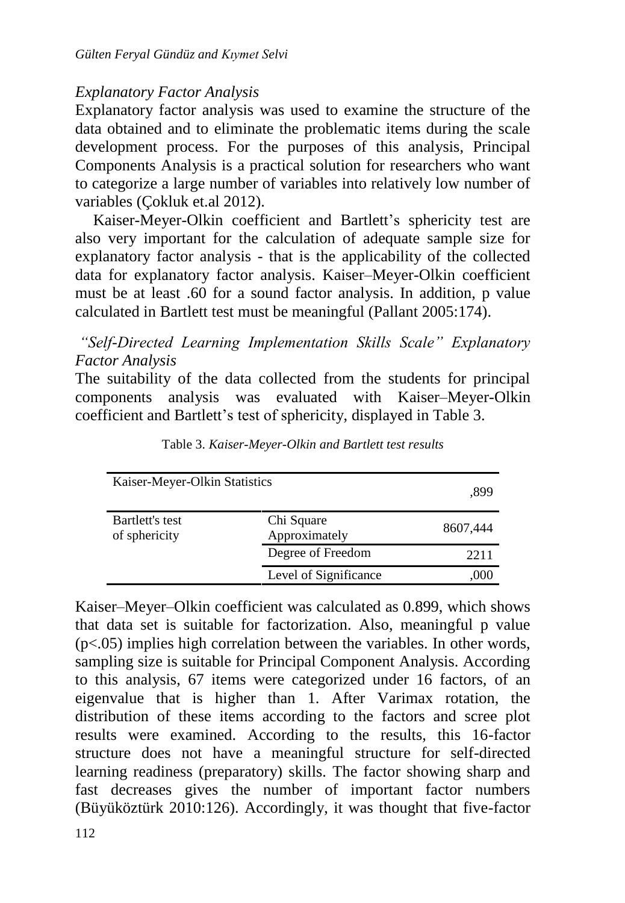### *Explanatory Factor Analysis*

Explanatory factor analysis was used to examine the structure of the data obtained and to eliminate the problematic items during the scale development process. For the purposes of this analysis, Principal Components Analysis is a practical solution for researchers who want to categorize a large number of variables into relatively low number of variables (Çokluk et.al 2012).

Kaiser-Meyer-Olkin coefficient and Bartlett's sphericity test are also very important for the calculation of adequate sample size for explanatory factor analysis - that is the applicability of the collected data for explanatory factor analysis. Kaiser–Meyer-Olkin coefficient must be at least .60 for a sound factor analysis. In addition, p value calculated in Bartlett test must be meaningful (Pallant 2005:174).

*"Self-Directed Learning Implementation Skills Scale" Explanatory Factor Analysis*

The suitability of the data collected from the students for principal components analysis was evaluated with Kaiser–Meyer-Olkin coefficient and Bartlett's test of sphericity, displayed in Table 3.

| Kaiser-Meyer-Olkin Statistics    | .899                        |          |
|----------------------------------|-----------------------------|----------|
| Bartlett's test<br>of sphericity | Chi Square<br>Approximately | 8607,444 |
|                                  | Degree of Freedom           | 2211     |
|                                  | Level of Significance       | .000     |

Table 3. *Kaiser-Meyer-Olkin and Bartlett test results*

Kaiser–Meyer–Olkin coefficient was calculated as 0.899, which shows that data set is suitable for factorization. Also, meaningful p value  $(p<.05)$  implies high correlation between the variables. In other words, sampling size is suitable for Principal Component Analysis. According to this analysis, 67 items were categorized under 16 factors, of an eigenvalue that is higher than 1. After Varimax rotation, the distribution of these items according to the factors and scree plot results were examined. According to the results, this 16-factor structure does not have a meaningful structure for self-directed learning readiness (preparatory) skills. The factor showing sharp and fast decreases gives the number of important factor numbers (Büyüköztürk 2010:126). Accordingly, it was thought that five-factor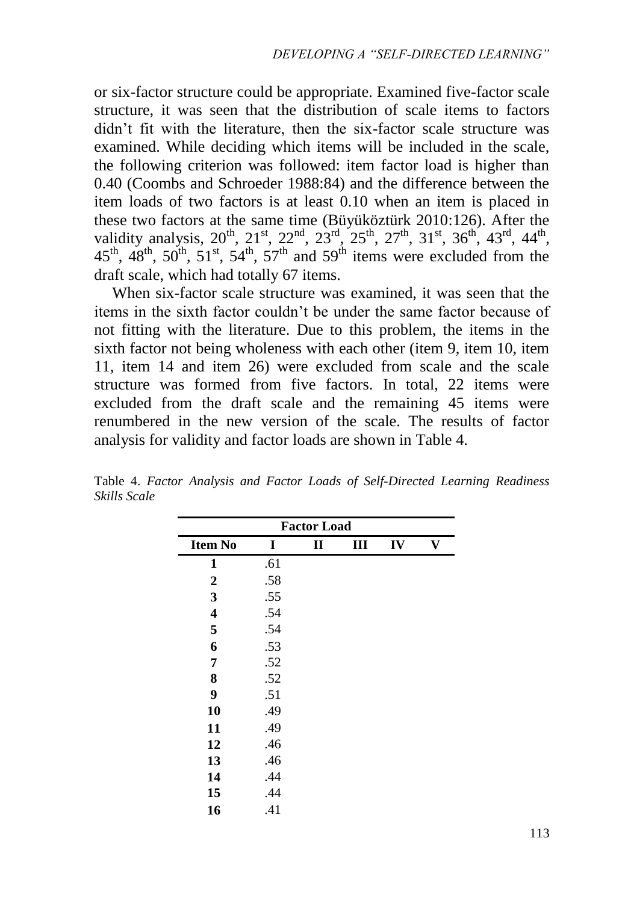or six-factor structure could be appropriate. Examined five-factor scale structure, it was seen that the distribution of scale items to factors didn't fit with the literature, then the six-factor scale structure was examined. While deciding which items will be included in the scale, the following criterion was followed: item factor load is higher than 0.40 (Coombs and Schroeder 1988:84) and the difference between the item loads of two factors is at least 0.10 when an item is placed in these two factors at the same time (Büyüköztürk 2010:126). After the validity analysis,  $20^{th}$ ,  $21^{st}$ ,  $22^{nd}$ ,  $23^{rd}$ ,  $25^{th}$ ,  $27^{th}$ ,  $31^{st}$ ,  $36^{th}$ ,  $43^{rd}$ ,  $44^{th}$ ,  $45<sup>th</sup>$ ,  $48<sup>th</sup>$ ,  $50<sup>th</sup>$ ,  $51<sup>st</sup>$ ,  $54<sup>th</sup>$ ,  $57<sup>th</sup>$  and  $59<sup>th</sup>$  items were excluded from the draft scale, which had totally 67 items.

When six-factor scale structure was examined, it was seen that the items in the sixth factor couldn't be under the same factor because of not fitting with the literature. Due to this problem, the items in the sixth factor not being wholeness with each other (item 9, item 10, item 11, item 14 and item 26) were excluded from scale and the scale structure was formed from five factors. In total, 22 items were excluded from the draft scale and the remaining 45 items were renumbered in the new version of the scale. The results of factor analysis for validity and factor loads are shown in Table 4.

| <b>Factor Load</b> |     |   |   |    |   |
|--------------------|-----|---|---|----|---|
| <b>Item No</b>     | I   | П | Ш | IV | V |
| 1                  | .61 |   |   |    |   |
| $\boldsymbol{2}$   | .58 |   |   |    |   |
| 3                  | .55 |   |   |    |   |
| 4                  | .54 |   |   |    |   |
| 5                  | .54 |   |   |    |   |
| 6                  | .53 |   |   |    |   |
| 7                  | .52 |   |   |    |   |
| 8                  | .52 |   |   |    |   |
| $\boldsymbol{9}$   | .51 |   |   |    |   |
| 10                 | .49 |   |   |    |   |
| 11                 | .49 |   |   |    |   |
| 12                 | .46 |   |   |    |   |
| 13                 | .46 |   |   |    |   |
| 14                 | .44 |   |   |    |   |
| 15                 | .44 |   |   |    |   |
| 16                 | .41 |   |   |    |   |

Table 4. *Factor Analysis and Factor Loads of Self-Directed Learning Readiness Skills Scale*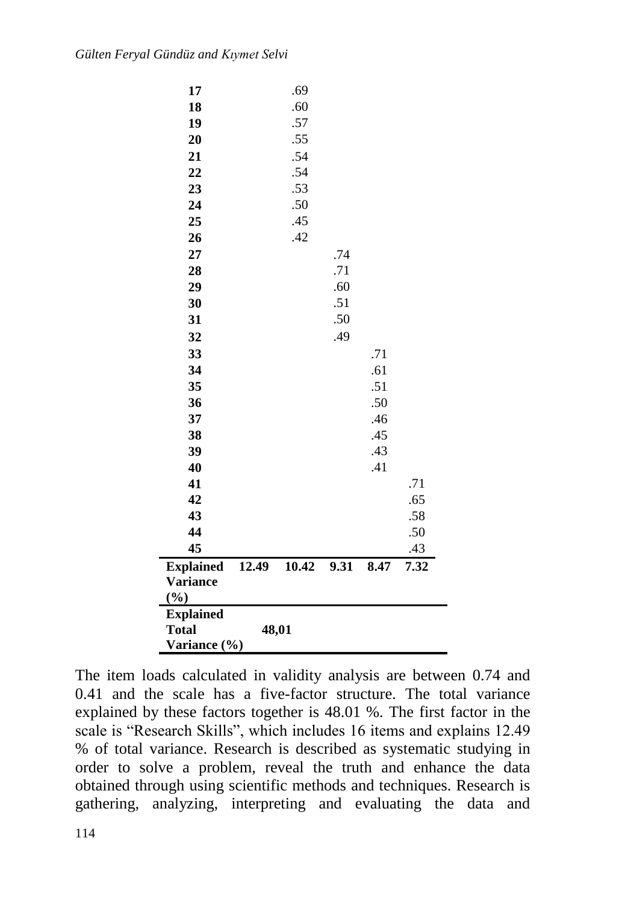| 12.49 | 10.42 | 9.31                                                        | 8.47                                   | 7.32                            |
|-------|-------|-------------------------------------------------------------|----------------------------------------|---------------------------------|
|       |       |                                                             |                                        | .43                             |
|       |       |                                                             |                                        | .50                             |
|       |       |                                                             |                                        | .58                             |
|       |       |                                                             |                                        | .65                             |
|       |       |                                                             |                                        | .71                             |
|       |       |                                                             | .41                                    |                                 |
|       |       |                                                             | .43                                    |                                 |
|       |       |                                                             | .45                                    |                                 |
|       |       |                                                             |                                        |                                 |
|       |       |                                                             |                                        |                                 |
|       |       |                                                             |                                        |                                 |
|       |       |                                                             |                                        |                                 |
|       |       |                                                             |                                        |                                 |
|       |       |                                                             |                                        |                                 |
|       |       |                                                             |                                        |                                 |
|       |       |                                                             |                                        |                                 |
|       |       |                                                             |                                        |                                 |
|       |       |                                                             |                                        |                                 |
|       |       |                                                             |                                        |                                 |
|       |       |                                                             |                                        |                                 |
|       |       |                                                             |                                        |                                 |
|       |       |                                                             |                                        |                                 |
|       |       |                                                             |                                        |                                 |
|       |       |                                                             |                                        |                                 |
|       |       |                                                             |                                        |                                 |
|       |       |                                                             |                                        |                                 |
|       |       |                                                             |                                        |                                 |
|       | .69   |                                                             |                                        |                                 |
|       |       | .60<br>.57<br>.55<br>.54<br>.54<br>.53<br>.50<br>.45<br>.42 | .74<br>.71<br>.60<br>.51<br>.50<br>.49 | .71<br>.61<br>.51<br>.50<br>.46 |

The item loads calculated in validity analysis are between 0.74 and 0.41 and the scale has a five-factor structure. The total variance explained by these factors together is 48.01 %. The first factor in the scale is "Research Skills", which includes 16 items and explains 12.49 % of total variance. Research is described as systematic studying in order to solve a problem, reveal the truth and enhance the data obtained through using scientific methods and techniques. Research is gathering, analyzing, interpreting and evaluating the data and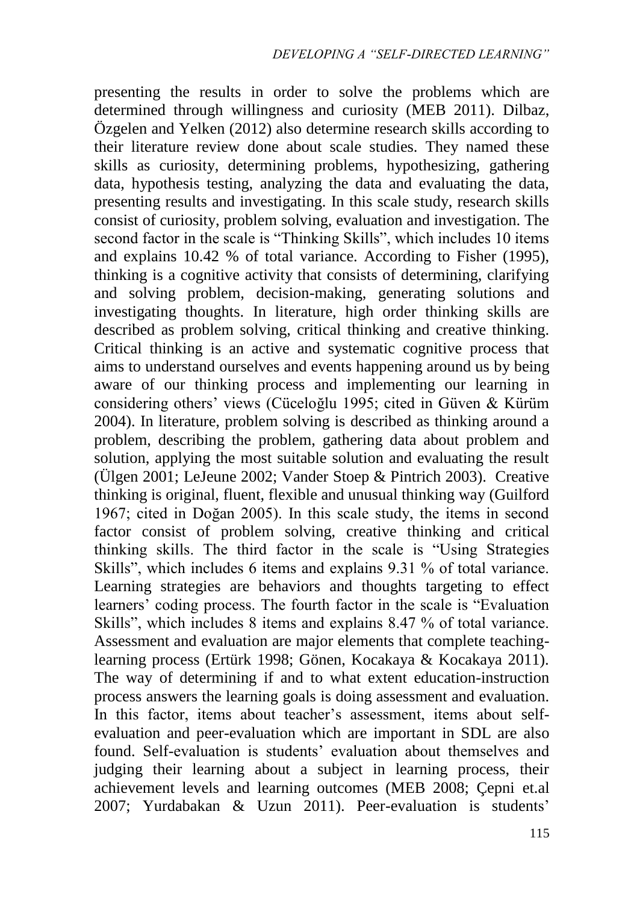presenting the results in order to solve the problems which are determined through willingness and curiosity (MEB 2011). Dilbaz, Özgelen and Yelken (2012) also determine research skills according to their literature review done about scale studies. They named these skills as curiosity, determining problems, hypothesizing, gathering data, hypothesis testing, analyzing the data and evaluating the data, presenting results and investigating. In this scale study, research skills consist of curiosity, problem solving, evaluation and investigation. The second factor in the scale is "Thinking Skills", which includes 10 items and explains 10.42 % of total variance. According to Fisher (1995), thinking is a cognitive activity that consists of determining, clarifying and solving problem, decision-making, generating solutions and investigating thoughts. In literature, high order thinking skills are described as problem solving, critical thinking and creative thinking. Critical thinking is an active and systematic cognitive process that aims to understand ourselves and events happening around us by being aware of our thinking process and implementing our learning in considering others' views (Cüceloğlu 1995; cited in Güven & Kürüm 2004). In literature, problem solving is described as thinking around a problem, describing the problem, gathering data about problem and solution, applying the most suitable solution and evaluating the result (Ülgen 2001; LeJeune 2002; Vander Stoep & Pintrich 2003). Creative thinking is original, fluent, flexible and unusual thinking way (Guilford 1967; cited in Doğan 2005). In this scale study, the items in second factor consist of problem solving, creative thinking and critical thinking skills. The third factor in the scale is "Using Strategies Skills", which includes 6 items and explains 9.31 % of total variance. Learning strategies are behaviors and thoughts targeting to effect learners' coding process. The fourth factor in the scale is "Evaluation Skills", which includes 8 items and explains 8.47 % of total variance. Assessment and evaluation are major elements that complete teachinglearning process (Ertürk 1998; Gönen, Kocakaya & Kocakaya 2011). The way of determining if and to what extent education-instruction process answers the learning goals is doing assessment and evaluation. In this factor, items about teacher's assessment, items about selfevaluation and peer-evaluation which are important in SDL are also found. Self-evaluation is students' evaluation about themselves and judging their learning about a subject in learning process, their achievement levels and learning outcomes (MEB 2008; Çepni et.al 2007; Yurdabakan & Uzun 2011). Peer-evaluation is students'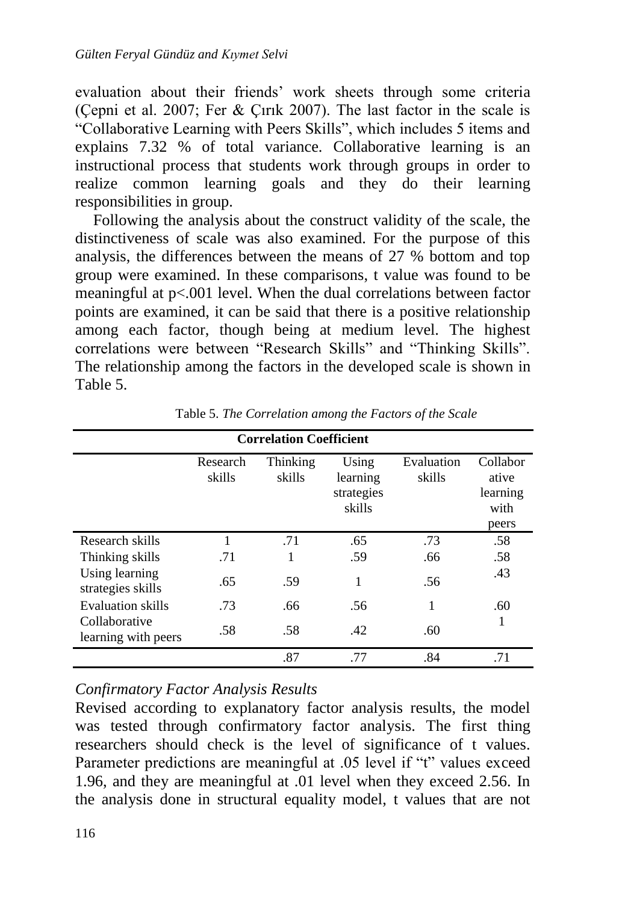evaluation about their friends' work sheets through some criteria (Çepni et al. 2007; Fer & Çırık 2007). The last factor in the scale is "Collaborative Learning with Peers Skills", which includes 5 items and explains 7.32 % of total variance. Collaborative learning is an instructional process that students work through groups in order to realize common learning goals and they do their learning responsibilities in group.

Following the analysis about the construct validity of the scale, the distinctiveness of scale was also examined. For the purpose of this analysis, the differences between the means of 27 % bottom and top group were examined. In these comparisons, t value was found to be meaningful at p<.001 level. When the dual correlations between factor points are examined, it can be said that there is a positive relationship among each factor, though being at medium level. The highest correlations were between "Research Skills" and "Thinking Skills". The relationship among the factors in the developed scale is shown in Table 5.

| <b>Correlation Coefficient</b>       |                    |                    |                                           |                      |                                                |  |
|--------------------------------------|--------------------|--------------------|-------------------------------------------|----------------------|------------------------------------------------|--|
|                                      | Research<br>skills | Thinking<br>skills | Using<br>learning<br>strategies<br>skills | Evaluation<br>skills | Collabor<br>ative<br>learning<br>with<br>peers |  |
| Research skills                      | 1                  | .71                | .65                                       | .73                  | .58                                            |  |
| Thinking skills                      | .71                | 1                  | .59                                       | .66                  | .58                                            |  |
| Using learning<br>strategies skills  | .65                | .59                | 1                                         | .56                  | .43                                            |  |
| <b>Evaluation</b> skills             | .73                | .66                | .56                                       | 1                    | .60                                            |  |
| Collaborative<br>learning with peers | .58                | .58                | .42                                       | .60                  | 1                                              |  |
|                                      |                    | .87                | .77                                       | .84                  | .71                                            |  |

Table 5. *The Correlation among the Factors of the Scale*

*Confirmatory Factor Analysis Results*

Revised according to explanatory factor analysis results, the model was tested through confirmatory factor analysis. The first thing researchers should check is the level of significance of t values. Parameter predictions are meaningful at .05 level if "t" values exceed 1.96, and they are meaningful at .01 level when they exceed 2.56. In the analysis done in structural equality model, t values that are not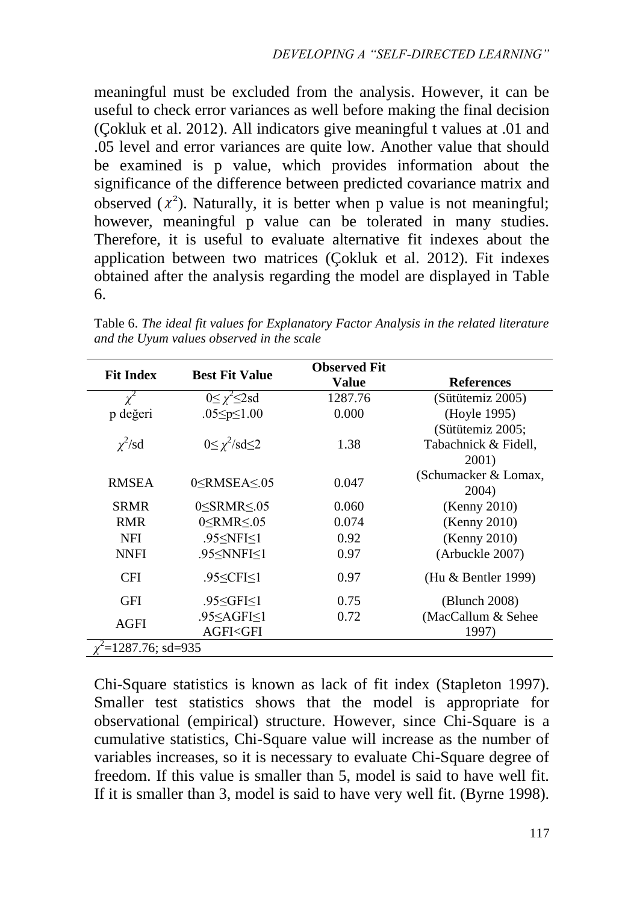meaningful must be excluded from the analysis. However, it can be useful to check error variances as well before making the final decision (Çokluk et al. 2012). All indicators give meaningful t values at .01 and .05 level and error variances are quite low. Another value that should be examined is p value, which provides information about the significance of the difference between predicted covariance matrix and observed  $(x^2)$ . Naturally, it is better when p value is not meaningful; however, meaningful p value can be tolerated in many studies. Therefore, it is useful to evaluate alternative fit indexes about the application between two matrices (Çokluk et al. 2012). Fit indexes obtained after the analysis regarding the model are displayed in Table 6.

| <b>Fit Index</b><br><b>Best Fit Value</b> |                                                                            | <b>Observed Fit</b> |                      |
|-------------------------------------------|----------------------------------------------------------------------------|---------------------|----------------------|
|                                           |                                                                            | Value               | <b>References</b>    |
| $\chi^2$                                  | $0 \leq \chi^2 \leq 2$ sd                                                  | 1287.76             | (Sütütemiz 2005)     |
| p değeri                                  | .05 $\leq p \leq 1.00$                                                     | 0.000               | (Hoyle 1995)         |
|                                           |                                                                            |                     | (Sütütemiz 2005;     |
| $\chi^2$ /sd                              | $0 \leq \chi^2 / sd \leq 2$                                                | 1.38                | Tabachnick & Fidell, |
|                                           |                                                                            |                     | 2001)                |
| <b>RMSEA</b>                              | $0<$ RMSEA $\leq$ .05                                                      | 0.047               | (Schumacker & Lomax, |
|                                           |                                                                            |                     | 2004)                |
| <b>SRMR</b>                               | $0 <$ SRMR $\leq 0.05$                                                     | 0.060               | (Kenny 2010)         |
| <b>RMR</b>                                | $0 <$ RMR $\leq 0.05$                                                      | 0.074               | (Kenny 2010)         |
| <b>NFI</b>                                | .95 < NFI < 1                                                              | 0.92                | (Kenny 2010)         |
| <b>NNFI</b>                               | .95 <nnfi<1< td=""><td>0.97</td><td>(Arbuckle 2007)</td></nnfi<1<>         | 0.97                | (Arbuckle 2007)      |
| <b>CFI</b>                                | .95 < CF < 1                                                               | 0.97                | (Hu & Bentler 1999)  |
| <b>GFI</b>                                | .95 $\le$ GFI $\le$ 1                                                      | 0.75                | (Blunch 2008)        |
| <b>AGFI</b>                               | .95 <agfi<1< td=""><td>0.72</td><td>(MacCallum &amp; Sehee)</td></agfi<1<> | 0.72                | (MacCallum & Sehee)  |
|                                           | AGFI <gfi< td=""><td></td><td>1997)</td></gfi<>                            |                     | 1997)                |
| $=1287.76$ ; sd=935                       |                                                                            |                     |                      |

Table 6. *The ideal fit values for Explanatory Factor Analysis in the related literature and the Uyum values observed in the scale*

Chi-Square statistics is known as lack of fit index (Stapleton 1997). Smaller test statistics shows that the model is appropriate for observational (empirical) structure. However, since Chi-Square is a cumulative statistics, Chi-Square value will increase as the number of variables increases, so it is necessary to evaluate Chi-Square degree of freedom. If this value is smaller than 5, model is said to have well fit. If it is smaller than 3, model is said to have very well fit. (Byrne 1998).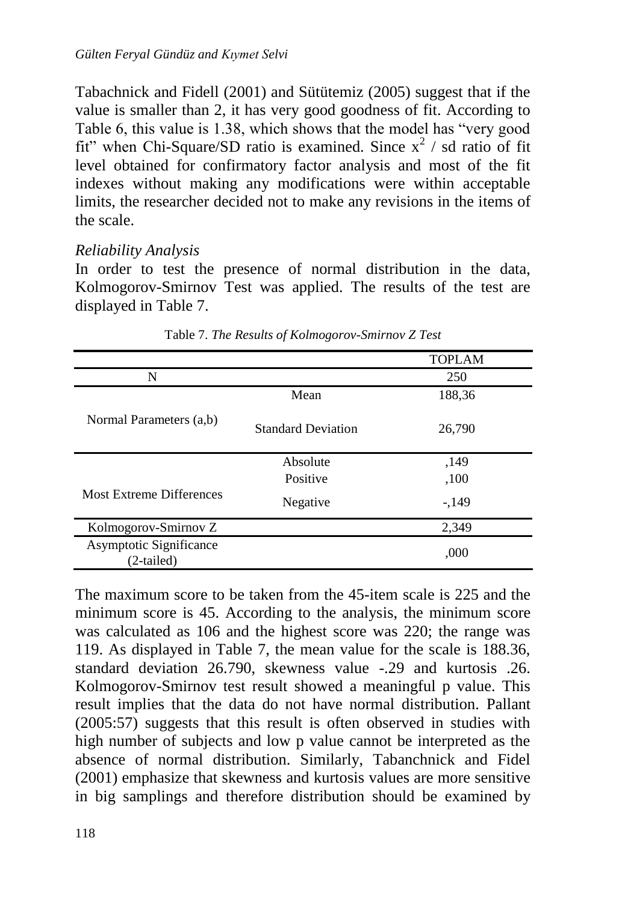Tabachnick and Fidell (2001) and Sütütemiz (2005) suggest that if the value is smaller than 2, it has very good goodness of fit. According to Table 6, this value is 1.38, which shows that the model has "very good fit" when Chi-Square/SD ratio is examined. Since  $x^2$  / sd ratio of fit level obtained for confirmatory factor analysis and most of the fit indexes without making any modifications were within acceptable limits, the researcher decided not to make any revisions in the items of the scale.

#### *Reliability Analysis*

In order to test the presence of normal distribution in the data, Kolmogorov-Smirnov Test was applied. The results of the test are displayed in Table 7.

|                                       |                           | <b>TOPLAM</b> |
|---------------------------------------|---------------------------|---------------|
| N                                     |                           | 250           |
|                                       | Mean                      | 188,36        |
| Normal Parameters (a,b)               | <b>Standard Deviation</b> | 26,790        |
|                                       | Absolute                  | ,149          |
|                                       | Positive                  | ,100          |
| <b>Most Extreme Differences</b>       | Negative                  | $-149$        |
| Kolmogorov-Smirnov Z                  |                           | 2,349         |
| Asymptotic Significance<br>(2-tailed) |                           | ,000          |

Table 7. *The Results of Kolmogorov-Smirnov Z Test*

The maximum score to be taken from the 45-item scale is 225 and the minimum score is 45. According to the analysis, the minimum score was calculated as 106 and the highest score was 220; the range was 119. As displayed in Table 7, the mean value for the scale is 188.36, standard deviation 26.790, skewness value -.29 and kurtosis .26. Kolmogorov-Smirnov test result showed a meaningful p value. This result implies that the data do not have normal distribution. Pallant (2005:57) suggests that this result is often observed in studies with high number of subjects and low p value cannot be interpreted as the absence of normal distribution. Similarly, Tabanchnick and Fidel (2001) emphasize that skewness and kurtosis values are more sensitive in big samplings and therefore distribution should be examined by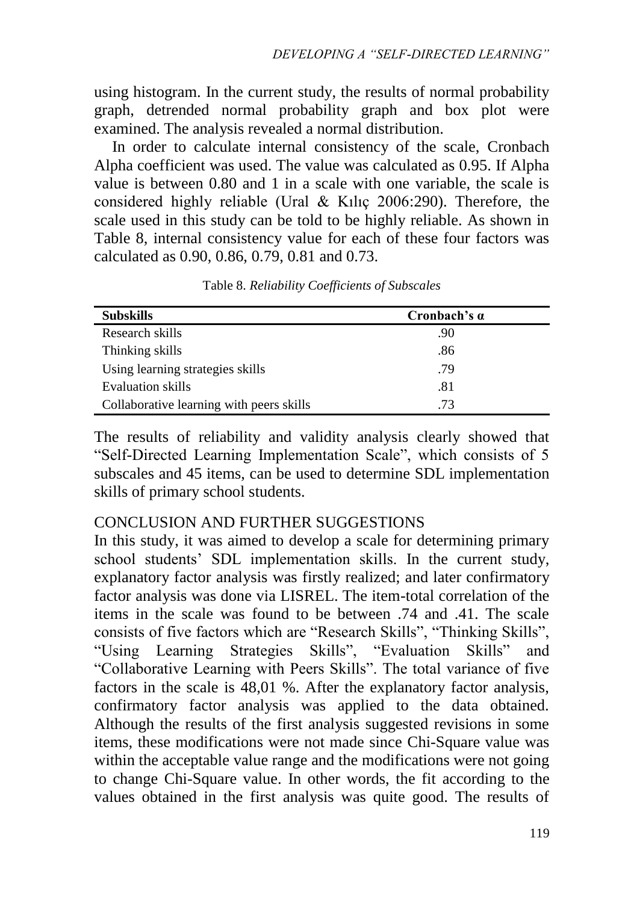using histogram. In the current study, the results of normal probability graph, detrended normal probability graph and box plot were examined. The analysis revealed a normal distribution.

In order to calculate internal consistency of the scale, Cronbach Alpha coefficient was used. The value was calculated as 0.95. If Alpha value is between 0.80 and 1 in a scale with one variable, the scale is considered highly reliable (Ural & Kılıç 2006:290). Therefore, the scale used in this study can be told to be highly reliable. As shown in Table 8, internal consistency value for each of these four factors was calculated as 0.90, 0.86, 0.79, 0.81 and 0.73.

| <b>Subskills</b>                         | Cronbach's $\alpha$ |
|------------------------------------------|---------------------|
| Research skills                          | .90                 |
| Thinking skills                          | .86                 |
| Using learning strategies skills         | .79                 |
| Evaluation skills                        | .81                 |
| Collaborative learning with peers skills | .73                 |

Table 8. *Reliability Coefficients of Subscales*

The results of reliability and validity analysis clearly showed that "Self-Directed Learning Implementation Scale", which consists of 5 subscales and 45 items, can be used to determine SDL implementation skills of primary school students.

#### CONCLUSION AND FURTHER SUGGESTIONS

In this study, it was aimed to develop a scale for determining primary school students' SDL implementation skills. In the current study, explanatory factor analysis was firstly realized; and later confirmatory factor analysis was done via LISREL. The item-total correlation of the items in the scale was found to be between .74 and .41. The scale consists of five factors which are "Research Skills", "Thinking Skills", "Using Learning Strategies Skills", "Evaluation Skills" and "Collaborative Learning with Peers Skills". The total variance of five factors in the scale is 48,01 %. After the explanatory factor analysis, confirmatory factor analysis was applied to the data obtained. Although the results of the first analysis suggested revisions in some items, these modifications were not made since Chi-Square value was within the acceptable value range and the modifications were not going to change Chi-Square value. In other words, the fit according to the values obtained in the first analysis was quite good. The results of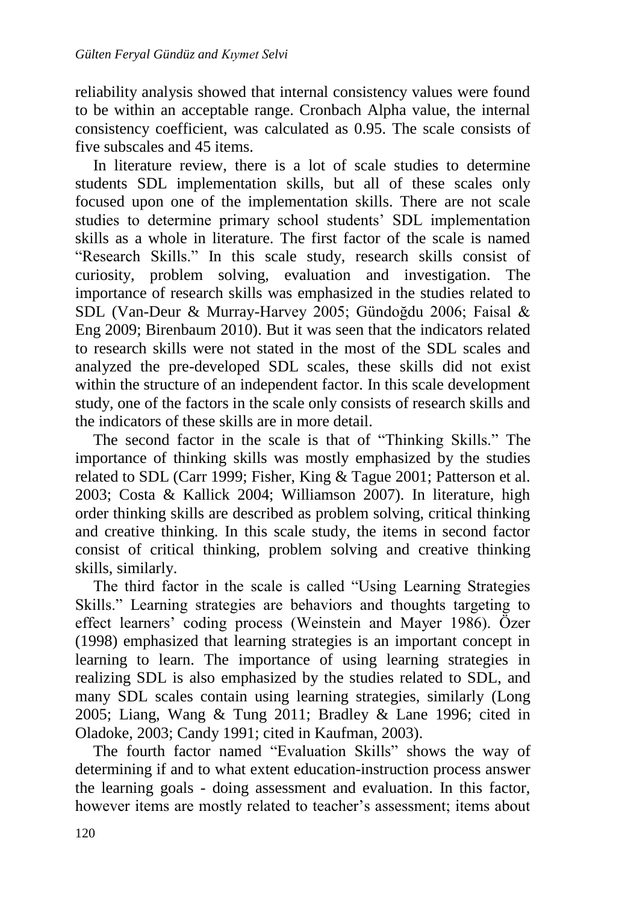reliability analysis showed that internal consistency values were found to be within an acceptable range. Cronbach Alpha value, the internal consistency coefficient, was calculated as 0.95. The scale consists of five subscales and 45 items.

In literature review, there is a lot of scale studies to determine students SDL implementation skills, but all of these scales only focused upon one of the implementation skills. There are not scale studies to determine primary school students' SDL implementation skills as a whole in literature. The first factor of the scale is named "Research Skills." In this scale study, research skills consist of curiosity, problem solving, evaluation and investigation. The importance of research skills was emphasized in the studies related to SDL (Van-Deur & Murray-Harvey 2005; Gündoğdu 2006; Faisal & Eng 2009; Birenbaum 2010). But it was seen that the indicators related to research skills were not stated in the most of the SDL scales and analyzed the pre-developed SDL scales, these skills did not exist within the structure of an independent factor. In this scale development study, one of the factors in the scale only consists of research skills and the indicators of these skills are in more detail.

The second factor in the scale is that of "Thinking Skills." The importance of thinking skills was mostly emphasized by the studies related to SDL (Carr 1999; Fisher, King & Tague 2001; Patterson et al. 2003; Costa & Kallick 2004; Williamson 2007). In literature, high order thinking skills are described as problem solving, critical thinking and creative thinking. In this scale study, the items in second factor consist of critical thinking, problem solving and creative thinking skills, similarly.

The third factor in the scale is called "Using Learning Strategies Skills." Learning strategies are behaviors and thoughts targeting to effect learners' coding process (Weinstein and Mayer 1986). Özer (1998) emphasized that learning strategies is an important concept in learning to learn. The importance of using learning strategies in realizing SDL is also emphasized by the studies related to SDL, and many SDL scales contain using learning strategies, similarly (Long 2005; Liang, Wang & Tung 2011; Bradley & Lane 1996; cited in Oladoke, 2003; Candy 1991; cited in Kaufman, 2003).

The fourth factor named "Evaluation Skills" shows the way of determining if and to what extent education-instruction process answer the learning goals - doing assessment and evaluation. In this factor, however items are mostly related to teacher's assessment; items about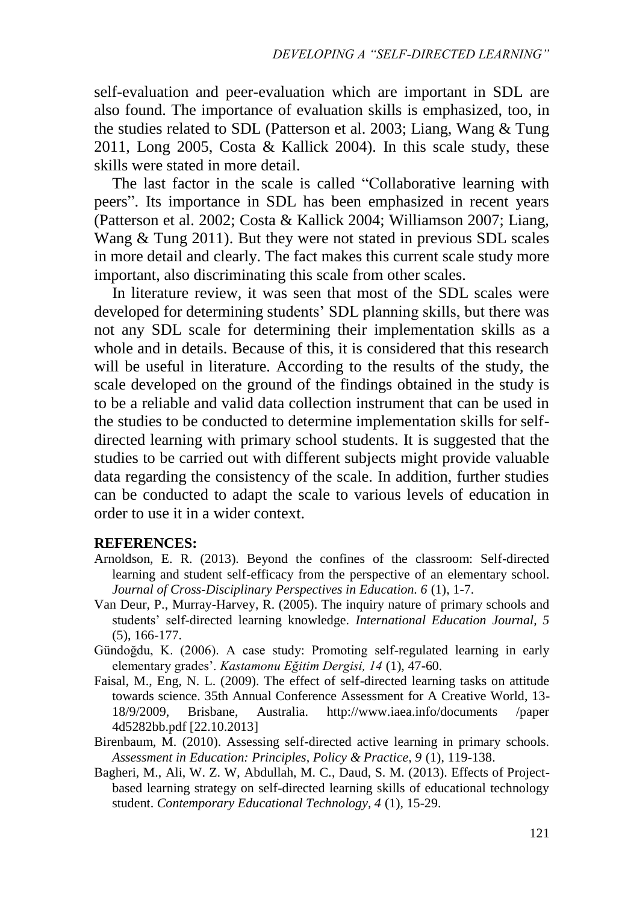self-evaluation and peer-evaluation which are important in SDL are also found. The importance of evaluation skills is emphasized, too, in the studies related to SDL (Patterson et al. 2003; Liang, Wang & Tung 2011, Long 2005, Costa & Kallick 2004). In this scale study, these skills were stated in more detail.

The last factor in the scale is called "Collaborative learning with peers". Its importance in SDL has been emphasized in recent years (Patterson et al. 2002; Costa & Kallick 2004; Williamson 2007; Liang, Wang & Tung 2011). But they were not stated in previous SDL scales in more detail and clearly. The fact makes this current scale study more important, also discriminating this scale from other scales.

In literature review, it was seen that most of the SDL scales were developed for determining students' SDL planning skills, but there was not any SDL scale for determining their implementation skills as a whole and in details. Because of this, it is considered that this research will be useful in literature. According to the results of the study, the scale developed on the ground of the findings obtained in the study is to be a reliable and valid data collection instrument that can be used in the studies to be conducted to determine implementation skills for selfdirected learning with primary school students. It is suggested that the studies to be carried out with different subjects might provide valuable data regarding the consistency of the scale. In addition, further studies can be conducted to adapt the scale to various levels of education in order to use it in a wider context.

#### **REFERENCES:**

- Arnoldson, E. R. (2013). Beyond the confines of the classroom: Self-directed learning and student self-efficacy from the perspective of an elementary school. *Journal of Cross-Disciplinary Perspectives in Education. 6* (1), 1-7.
- Van Deur, P., Murray-Harvey, R. (2005). The inquiry nature of primary schools and students' self-directed learning knowledge. *International Education Journal, 5*  (5), 166-177.
- Gündoğdu, K. (2006). A case study: Promoting self-regulated learning in early elementary grades'. *Kastamonu Eğitim Dergisi, 14* (1), 47-60.
- Faisal, M., Eng, N. L. (2009). The effect of self-directed learning tasks on attitude towards science. 35th Annual Conference Assessment for A Creative World, 13- 18/9/2009, Brisbane, Australia. http://www.iaea.info/documents /paper 4d5282bb.pdf [22.10.2013]
- Birenbaum, M. (2010). Assessing self-directed active learning in primary schools. Assessment in Education: Principles, Policy & Practice, 9 (1), 119-138.
- Bagheri, M., Ali, W. Z. W, Abdullah, M. C., Daud, S. M. (2013). Effects of Projectbased learning strategy on self-directed learning skills of educational technology student. *Contemporary Educational Technology, 4* (1), 15-29.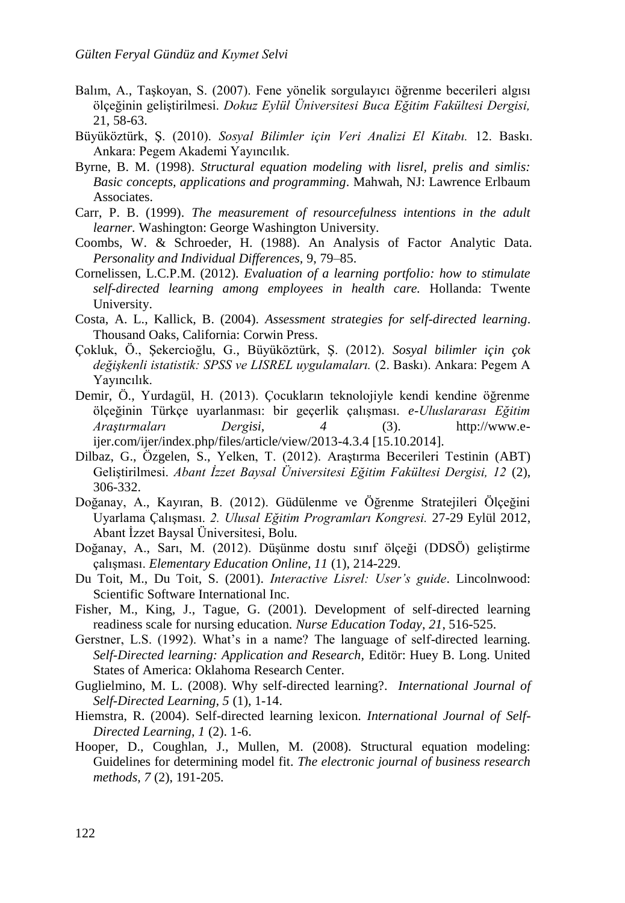- Balım, A., Taşkoyan, S. (2007). Fene yönelik sorgulayıcı öğrenme becerileri algısı ölçeğinin geliştirilmesi. *Dokuz Eylül Üniversitesi Buca Eğitim Fakültesi Dergisi,*  21, 58-63.
- Büyüköztürk, Ş. (2010). *Sosyal Bilimler için Veri Analizi El Kitabı.* 12. Baskı. Ankara: Pegem Akademi Yayıncılık.
- Byrne, B. M. (1998). *Structural equation modeling with lisrel, prelis and simlis: Basic concepts, applications and programming*. Mahwah, NJ: Lawrence Erlbaum Associates.
- Carr, P. B. (1999). *The measurement of resourcefulness intentions in the adult learner.* Washington: George Washington University.
- Coombs, W. & Schroeder, H. (1988). An Analysis of Factor Analytic Data. *Personality and Individual Differences,* 9, 79–85.
- Cornelissen, L.C.P.M. (2012). *Evaluation of a learning portfolio: how to stimulate self-directed learning among employees in health care.* Hollanda: Twente University.
- Costa, A. L., Kallick, B. (2004). *Assessment strategies for self-directed learning*. Thousand Oaks, California: Corwin Press.
- Çokluk, Ö., Şekercioğlu, G., Büyüköztürk, Ş. (2012). *Sosyal bilimler için çok değişkenli istatistik: SPSS ve LISREL uygulamaları.* (2. Baskı). Ankara: Pegem A Yayıncılık.
- Demir, Ö., Yurdagül, H. (2013). Çocukların teknolojiyle kendi kendine öğrenme ölçeğinin Türkçe uyarlanması: bir geçerlik çalışması. *e-Uluslararası Eğitim Araştırmaları Dergisi, 4* (3). [http://www.e](http://www.e-ijer.com/ijer/index.php/files/article/view/2013-4.3.4%20%5b15.10.2014)[ijer.com/ijer/index.php/files/article/view/2013-4.3.4 \[15.10.2014\]](http://www.e-ijer.com/ijer/index.php/files/article/view/2013-4.3.4%20%5b15.10.2014).
- Dilbaz, G., Özgelen, S., Yelken, T. (2012). Araştırma Becerileri Testinin (ABT) Geliştirilmesi. *Abant İzzet Baysal Üniversitesi Eğitim Fakültesi Dergisi, 12* (2), 306-332.
- Doğanay, A., Kayıran, B. (2012). Güdülenme ve Öğrenme Stratejileri Ölçeğini Uyarlama Çalışması. *2. Ulusal Eğitim Programları Kongresi.* 27-29 Eylül 2012, Abant İzzet Baysal Üniversitesi, Bolu.
- Doğanay, A., Sarı, M. (2012). Düşünme dostu sınıf ölçeği (DDSÖ) geliştirme çalışması. *Elementary Education Online, 11* (1), 214-229.
- Du Toit, M., Du Toit, S. (2001). *Interactive Lisrel: User's guide*. Lincolnwood: Scientific Software International Inc.
- Fisher, M., King, J., Tague, G. (2001). Development of self-directed learning readiness scale for nursing education. *Nurse Education Today*, *21*, 516-525.
- Gerstner, L.S. (1992). What's in a name? The language of self-directed learning. *Self-Directed learning: Application and Research,* Editör: Huey B. Long. United States of America: Oklahoma Research Center.
- Guglielmino, M. L. (2008). Why self-directed learning?. *International Journal of Self-Directed Learning, 5* (1), 1-14.
- Hiemstra, R. (2004). Self-directed learning lexicon. *International Journal of Self-Directed Learning, 1* (2). 1-6.
- Hooper, D., Coughlan, J., Mullen, M. (2008). Structural equation modeling: Guidelines for determining model fit. *The electronic journal of business research methods, 7* (2), 191-205.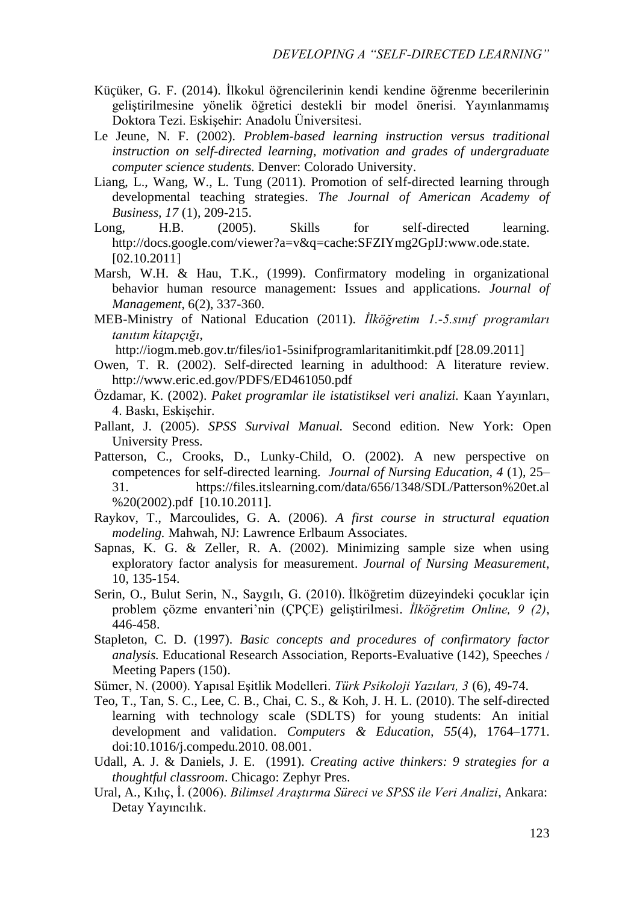- Küçüker, G. F. (2014). İlkokul öğrencilerinin kendi kendine öğrenme becerilerinin geliştirilmesine yönelik öğretici destekli bir model önerisi. Yayınlanmamış Doktora Tezi. Eskişehir: Anadolu Üniversitesi.
- Le Jeune, N. F. (2002). *Problem-based learning instruction versus traditional instruction on self-directed learning, motivation and grades of undergraduate computer science students.* Denver: Colorado University.
- Liang, L., Wang, W., L. Tung (2011). Promotion of self-directed learning through developmental teaching strategies. *The Journal of American Academy of Business, 17* (1), 209-215.
- Long, H.B. (2005). Skills for self-directed learning. http://docs.google.com/viewer?a=v&q=cache:SFZIYmg2GpIJ:www.ode.state. [02.10.2011]
- Marsh, W.H. & Hau, T.K., (1999). Confirmatory modeling in organizational behavior human resource management: Issues and applications. *Journal of Management*, 6(2), 337-360.
- MEB-Ministry of National Education (2011). *İlköğretim 1.-5.sınıf programları tanıtım kitapçığı*,

<http://iogm.meb.gov.tr/files/io1-5sinifprogramlaritanitimkit.pdf> [28.09.2011]

- Owen, T. R. (2002). Self-directed learning in adulthood: A literature review. http://www.eric.ed.gov/PDFS/ED461050.pdf
- Özdamar, K. (2002). *Paket programlar ile istatistiksel veri analizi.* Kaan Yayınları, 4. Baskı, Eskişehir.
- Pallant, J. (2005). *SPSS Survival Manual.* Second edition. New York: Open University Press.
- Patterson, C., Crooks, D., Lunky-Child, O. (2002). A new perspective on competences for self-directed learning. *Journal of Nursing Education, 4* (1), 25– 31. [https://files.itslearning.com/data/656/1348/SDL/Patterson%20et.al](https://files.itslearning.com/data/656/1348/SDL/Patterson%20et.al%20%20(2002).pdf)  [%20\(2002\).pdf](https://files.itslearning.com/data/656/1348/SDL/Patterson%20et.al%20%20(2002).pdf) [10.10.2011].
- Raykov, T., Marcoulides, G. A. (2006). *A first course in structural equation modeling.* Mahwah, NJ: Lawrence Erlbaum Associates.
- Sapnas, K. G. & Zeller, R. A. (2002). Minimizing sample size when using exploratory factor analysis for measurement. *Journal of Nursing Measurement*, 10, 135-154.
- Serin, O., Bulut Serin, N., Saygılı, G. (2010). İlköğretim düzeyindeki çocuklar için problem çözme envanteri'nin (ÇPÇE) geliştirilmesi. *İlköğretim Online, 9 (2)*, 446-458.
- Stapleton, C. D. (1997). *Basic concepts and procedures of confirmatory factor analysis.* Educational Research Association, Reports-Evaluative (142), Speeches / Meeting Papers (150).
- Sümer, N. (2000). Yapısal Eşitlik Modelleri. *Türk Psikoloji Yazıları, 3* (6), 49-74.
- Teo, T., Tan, S. C., Lee, C. B., Chai, C. S., & Koh, J. H. L. (2010). The self-directed learning with technology scale (SDLTS) for young students: An initial development and validation. *Computers & Education, 55*(4), 1764–1771. doi:10.1016/j.compedu.2010. 08.001.
- Udall, A. J. & Daniels, J. E. (1991). *Creating active thinkers: 9 strategies for a thoughtful classroom*. Chicago: Zephyr Pres.
- Ural, A., Kılıç, İ. (2006). *Bilimsel Araştırma Süreci ve SPSS ile Veri Analizi*, Ankara: Detay Yayıncılık.